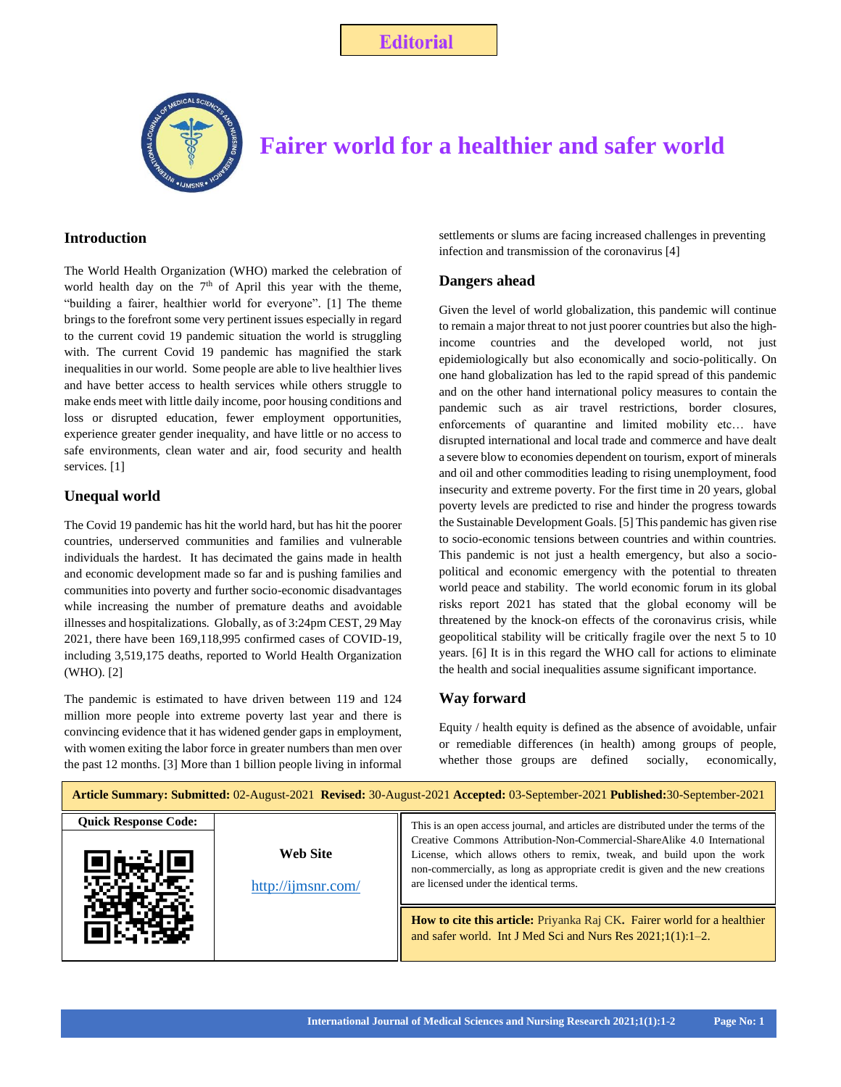

# **Fairer world for a healthier and safer world**

### **Introduction**

brings to the forefront some very pertinent issues especially in regard<br>brings to the forefront some very pertinent issues especially in regard to remain a major threat to not just poorer countries but also the higher to the current covid 19 pandemic situation the world is struggling the computation and the developed world pat is The World Health Organization (WHO) marked the celebration of world health day on the 7<sup>th</sup> of April this year with the theme, "building a fairer, healthier world for everyone". [1] The theme with. The current Covid 19 pandemic has magnified the stark inequalities in our world. Some people are able to live healthier lives and have better access to health services while others struggle to make ends meet with little daily income, poor housing conditions and loss or disrupted education, fewer employment opportunities, experience greater gender inequality, and have little or no access to safe environments, clean water and air, food security and health services. [1]

### **Unequal world**

The Covid 19 pandemic has hit the world hard, but has hit the poorer countries, underserved communities and families and vulnerable individuals the hardest. It has decimated the gains made in health and economic development made so far and is pushing families and communities into poverty and further socio-economic disadvantages while increasing the number of premature deaths and avoidable illnesses and hospitalizations. Globally, as of 3:24pm CEST, 29 May 2021, there have been 169,118,995 confirmed cases of COVID-19, including 3,519,175 deaths, reported to World Health Organization (WHO). [2]

The pandemic is estimated to have driven between 119 and 124 million more people into extreme poverty last year and there is convincing evidence that it has widened gender gaps in employment, with women exiting the labor force in greater numbers than men over the past 12 months. [3] More than 1 billion people living in informal

settlements or slums are facing increased challenges in preventing infection and transmission of the coronavirus [4]

### **Dangers ahead**

Evolum 15 pandemic situation the world is sutggining<br>
income countries and the developed world, not just Given the level of world globalization, this pandemic will continue to remain a major threat to not just poorer countries but also the highepidemiologically but also economically and socio-politically. On one hand globalization has led to the rapid spread of this pandemic and on the other hand international policy measures to contain the pandemic such as air travel restrictions, border closures, enforcements of quarantine and limited mobility etc… have disrupted international and local trade and commerce and have dealt a severe blow to economies dependent on tourism, export of minerals and oil and other commodities leading to rising unemployment, food insecurity and extreme poverty. For the first time in 20 years, global poverty levels are predicted to rise and hinder the progress towards the Sustainable Development Goals. [5] This pandemic has given rise to socio-economic tensions between countries and within countries. This pandemic is not just a health emergency, but also a sociopolitical and economic emergency with the potential to threaten world peace and stability. The world economic forum in its global risks report 2021 has stated that the global economy will be threatened by the knock-on effects of the coronavirus crisis, while geopolitical stability will be critically fragile over the next 5 to 10 years. [6] It is in this regard the WHO call for actions to eliminate the health and social inequalities assume significant importance.

### **Way forward**

Equity / health equity is defined as the absence of avoidable, unfair or remediable differences (in health) among groups of people, whether those groups are defined socially, economically,

| Article Summary: Submitted: 02-August-2021 Revised: 30-August-2021 Accepted: 03-September-2021 Published: 30-September-2021 |                                |                                                                                                                                                                                                                                                                                                                                                                       |
|-----------------------------------------------------------------------------------------------------------------------------|--------------------------------|-----------------------------------------------------------------------------------------------------------------------------------------------------------------------------------------------------------------------------------------------------------------------------------------------------------------------------------------------------------------------|
| <b>Quick Response Code:</b>                                                                                                 | Web Site<br>http://ijmsnr.com/ | This is an open access journal, and articles are distributed under the terms of the<br>Creative Commons Attribution-Non-Commercial-ShareAlike 4.0 International<br>License, which allows others to remix, tweak, and build upon the work<br>non-commercially, as long as appropriate credit is given and the new creations<br>are licensed under the identical terms. |
|                                                                                                                             |                                | How to cite this article: Priyanka Raj CK. Fairer world for a healthier<br>and safer world. Int J Med Sci and Nurs Res 2021;1(1):1-2.                                                                                                                                                                                                                                 |